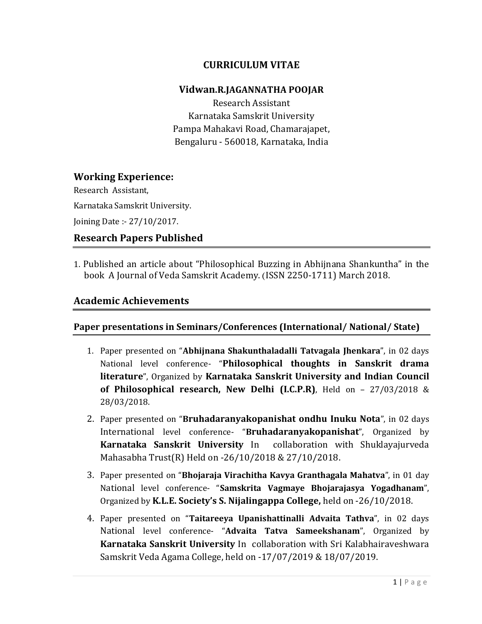## CURRICULUM VITAE

#### Vidwan.R.JAGANNATHA POOJAR

Research Assistant Karnataka Samskrit University Pampa Mahakavi Road, Chamarajapet, Bengaluru - 560018, Karnataka, India

## Working Experience:

Research Assistant,

Karnataka Samskrit University.

Joining Date :- 27/10/2017.

## Research Papers Published

1. Published an article about "Philosophical Buzzing in Abhijnana Shankuntha" in the book A Journal of Veda Samskrit Academy. (ISSN 2250-1711) March 2018.

## Academic Achievements

#### Paper presentations in Seminars/Conferences (International/ National/ State)

- 1. Paper presented on "Abhijnana Shakunthaladalli Tatvagala Jhenkara", in 02 days National level conference- "Philosophical thoughts in Sanskrit drama literature", Organized by Karnataka Sanskrit University and Indian Council of Philosophical research, New Delhi (I.C.P.R), Held on -  $27/03/2018$  & 28/03/2018.
- 2. Paper presented on "Bruhadaranyakopanishat ondhu Inuku Nota", in 02 days International level conference- "Bruhadaranyakopanishat", Organized by Karnataka Sanskrit University In collaboration with Shuklayajurveda Mahasabha Trust(R) Held on -26/10/2018 & 27/10/2018.
- 3. Paper presented on "Bhojaraja Virachitha Kavya Granthagala Mahatva", in 01 day National level conference- "Samskrita Vagmaye Bhojarajasya Yogadhanam", Organized by K.L.E. Society's S. Nijalingappa College, held on -26/10/2018.
- 4. Paper presented on "Taitareeya Upanishattinalli Advaita Tathva", in 02 days National level conference- "Advaita Tatva Sameekshanam", Organized by Karnataka Sanskrit University In collaboration with Sri Kalabhairaveshwara Samskrit Veda Agama College, held on -17/07/2019 & 18/07/2019.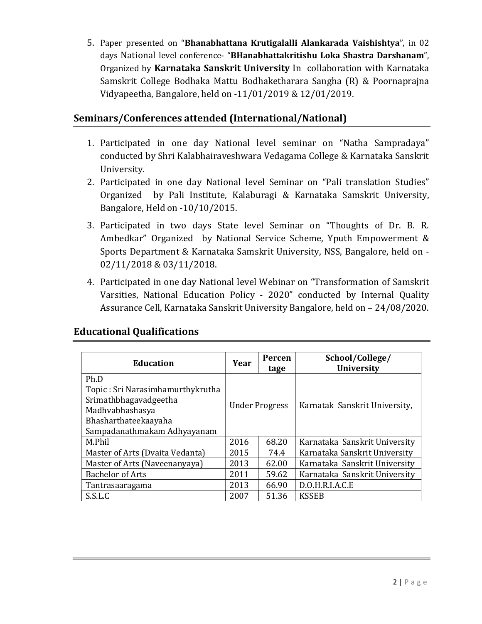5. Paper presented on "Bhanabhattana Krutigalalli Alankarada Vaishishtya", in 02 days National level conference- "BHanabhattakritishu Loka Shastra Darshanam", Organized by Karnataka Sanskrit University In collaboration with Karnataka Samskrit College Bodhaka Mattu Bodhaketharara Sangha (R) & Poornaprajna Vidyapeetha, Bangalore, held on -11/01/2019 & 12/01/2019.

## Seminars/Conferences attended (International/National)

- 1. Participated in one day National level seminar on "Natha Sampradaya" conducted by Shri Kalabhairaveshwara Vedagama College & Karnataka Sanskrit University.
- 2. Participated in one day National level Seminar on "Pali translation Studies" Organized by Pali Institute, Kalaburagi & Karnataka Samskrit University, Bangalore, Held on -10/10/2015.
- 3. Participated in two days State level Seminar on "Thoughts of Dr. B. R. Ambedkar" Organized by National Service Scheme, Yputh Empowerment & Sports Department & Karnataka Samskrit University, NSS, Bangalore, held on - 02/11/2018 & 03/11/2018.
- 4. Participated in one day National level Webinar on "Transformation of Samskrit Varsities, National Education Policy - 2020" conducted by Internal Quality Assurance Cell, Karnataka Sanskrit University Bangalore, held on – 24/08/2020.

| <b>Education</b>                 | Year                  | Percen<br>tage | School/College/<br><b>University</b> |
|----------------------------------|-----------------------|----------------|--------------------------------------|
| Ph.D                             |                       |                |                                      |
| Topic: Sri Narasimhamurthykrutha |                       |                |                                      |
| Srimathbhagavadgeetha            | <b>Under Progress</b> |                | Karnatak Sanskrit University,        |
| Madhvabhashasya                  |                       |                |                                      |
| Bhasharthateekaayaha             |                       |                |                                      |
| Sampadanathmakam Adhyayanam      |                       |                |                                      |
| M.Phil                           | 2016                  | 68.20          | Karnataka Sanskrit University        |
| Master of Arts (Dvaita Vedanta)  | 2015                  | 74.4           | Karnataka Sanskrit University        |
| Master of Arts (Naveenanyaya)    | 2013                  | 62.00          | Karnataka Sanskrit University        |
| <b>Bachelor of Arts</b>          | 2011                  | 59.62          | Karnataka Sanskrit University        |
| Tantrasaaragama                  | 2013                  | 66.90          | D.O.H.R.I.A.C.E                      |
| S.S.L.C                          | 2007                  | 51.36          | <b>KSSEB</b>                         |

## Educational Qualifications